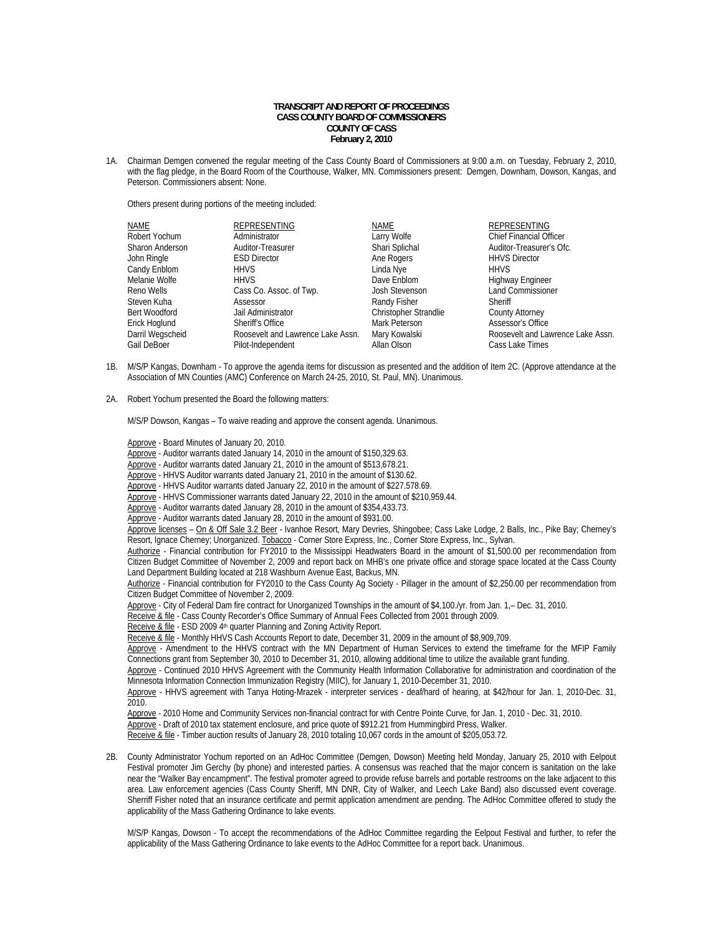## **TRANSCRIPT AND REPORT OF PROCEEDINGS CASS COUNTY BOARD OF COMMISSIONERS COUNTY OF CASS February 2, 2010**

1A. Chairman Demgen convened the regular meeting of the Cass County Board of Commissioners at 9:00 a.m. on Tuesday, February 2, 2010, with the flag pledge, in the Board Room of the Courthouse, Walker, MN. Commissioners present: Demgen, Downham, Dowson, Kangas, and Peterson. Commissioners absent: None.

Others present during portions of the meeting included:

| NAME             | REPRESENTING                      | NAME                         | REPRESENTING                      |
|------------------|-----------------------------------|------------------------------|-----------------------------------|
| Robert Yochum    | Administrator                     | Larry Wolfe                  | <b>Chief Financial Officer</b>    |
| Sharon Anderson  | Auditor-Treasurer                 | Shari Splichal               | Auditor-Treasurer's Ofc.          |
| John Ringle      | <b>ESD Director</b>               | Ane Rogers                   | <b>HHVS Director</b>              |
| Candy Enblom     | <b>HHVS</b>                       | Linda Nye                    | <b>HHVS</b>                       |
| Melanie Wolfe    | <b>HHVS</b>                       | Dave Enblom                  | Highway Engineer                  |
| Reno Wells       | Cass Co. Assoc. of Twp.           | Josh Stevenson               | <b>Land Commissioner</b>          |
| Steven Kuha      | Assessor                          | Randy Fisher                 | Sheriff                           |
| Bert Woodford    | Jail Administrator                | <b>Christopher Strandlie</b> | <b>County Attorney</b>            |
| Erick Hoglund    | Sheriff's Office                  | Mark Peterson                | Assessor's Office                 |
| Darril Wegscheid | Roosevelt and Lawrence Lake Assn. | Mary Kowalski                | Roosevelt and Lawrence Lake Assn. |
| Gail DeBoer      | Pilot-Independent                 | Allan Olson                  | Cass Lake Times                   |

- 1B. M/S/P Kangas, Downham To approve the agenda items for discussion as presented and the addition of Item 2C. (Approve attendance at the Association of MN Counties (AMC) Conference on March 24-25, 2010, St. Paul, MN). Unanimous.
- 2A. Robert Yochum presented the Board the following matters:

M/S/P Dowson, Kangas – To waive reading and approve the consent agenda. Unanimous.

Approve - Board Minutes of January 20, 2010.

Approve - Auditor warrants dated January 14, 2010 in the amount of \$150,329.63.

Approve - Auditor warrants dated January 21, 2010 in the amount of \$513,678.21.

Approve - HHVS Auditor warrants dated January 21, 2010 in the amount of \$130.62.

Approve - HHVS Auditor warrants dated January 22, 2010 in the amount of \$227.578.69.

Approve - HHVS Commissioner warrants dated January 22, 2010 in the amount of \$210,959.44.

Approve - Auditor warrants dated January 28, 2010 in the amount of \$354,433.73.

Approve - Auditor warrants dated January 28, 2010 in the amount of \$931.00.

Approve licenses - On & Off Sale 3.2 Beer - Ivanhoe Resort, Mary Devries, Shingobee; Cass Lake Lodge, 2 Balls, Inc., Pike Bay; Cherney's Resort, Ignace Cherney; Unorganized. Tobacco - Corner Store Express, Inc., Corner Store Express, Inc., Sylvan.

Authorize - Financial contribution for FY2010 to the Mississippi Headwaters Board in the amount of \$1,500.00 per recommendation from Citizen Budget Committee of November 2, 2009 and report back on MHB's one private office and storage space located at the Cass County Land Department Building located at 218 Washburn Avenue East, Backus, MN.

Authorize - Financial contribution for FY2010 to the Cass County Ag Society - Pillager in the amount of \$2,250.00 per recommendation from Citizen Budget Committee of November 2, 2009.

Approve - City of Federal Dam fire contract for Unorganized Townships in the amount of \$4,100./yr. from Jan. 1,– Dec. 31, 2010.

Receive & file - Cass County Recorder's Office Summary of Annual Fees Collected from 2001 through 2009.

Receive & file - ESD 2009 4th quarter Planning and Zoning Activity Report.

Receive & file - Monthly HHVS Cash Accounts Report to date, December 31, 2009 in the amount of \$8,909,709.

Approve - Amendment to the HHVS contract with the MN Department of Human Services to extend the timeframe for the MFIP Family Connections grant from September 30, 2010 to December 31, 2010, allowing additional time to utilize the available grant funding.

Approve - Continued 2010 HHVS Agreement with the Community Health Information Collaborative for administration and coordination of the Minnesota Information Connection Immunization Registry (MIIC), for January 1, 2010-December 31, 2010.

 Approve - HHVS agreement with Tanya Hoting-Mrazek - interpreter services - deaf/hard of hearing, at \$42/hour for Jan. 1, 2010-Dec. 31, 2010.

Approve - 2010 Home and Community Services non-financial contract for with Centre Pointe Curve, for Jan. 1, 2010 - Dec. 31, 2010.

Approve - Draft of 2010 tax statement enclosure, and price quote of \$912.21 from Hummingbird Press, Walker.

Receive & file - Timber auction results of January 28, 2010 totaling 10,067 cords in the amount of \$205,053.72.

2B. County Administrator Yochum reported on an AdHoc Committee (Demgen, Dowson) Meeting held Monday, January 25, 2010 with Eelpout Festival promoter Jim Gerchy (by phone) and interested parties. A consensus was reached that the major concern is sanitation on the lake near the "Walker Bay encampment". The festival promoter agreed to provide refuse barrels and portable restrooms on the lake adjacent to this area. Law enforcement agencies (Cass County Sheriff, MN DNR, City of Walker, and Leech Lake Band) also discussed event coverage. Sherriff Fisher noted that an insurance certificate and permit application amendment are pending. The AdHoc Committee offered to study the applicability of the Mass Gathering Ordinance to lake events.

M/S/P Kangas, Dowson - To accept the recommendations of the AdHoc Committee regarding the Eelpout Festival and further, to refer the applicability of the Mass Gathering Ordinance to lake events to the AdHoc Committee for a report back. Unanimous.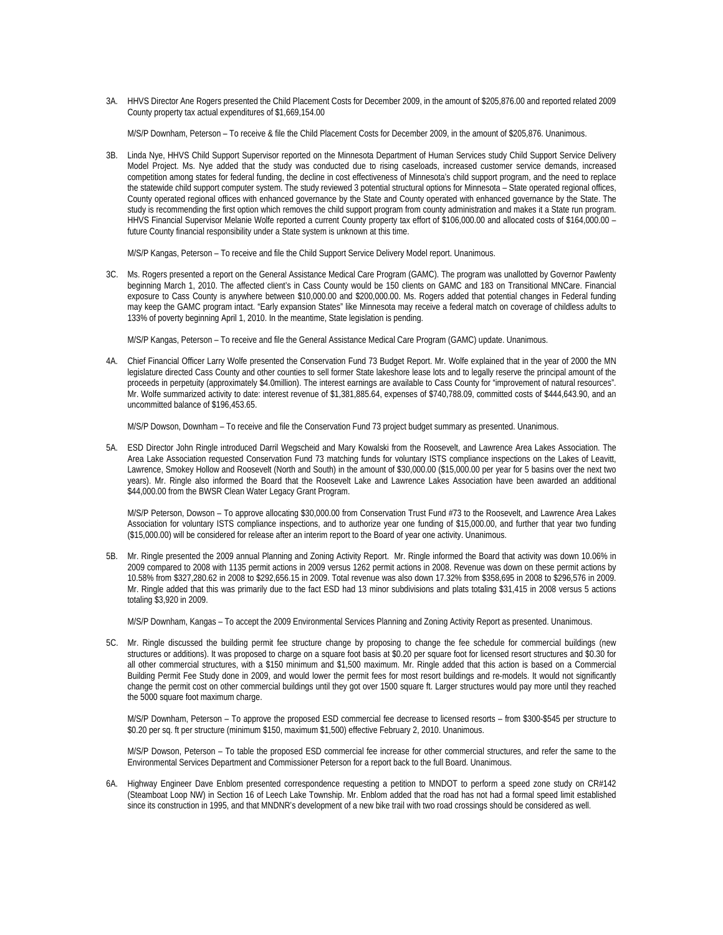3A. HHVS Director Ane Rogers presented the Child Placement Costs for December 2009, in the amount of \$205,876.00 and reported related 2009 County property tax actual expenditures of \$1,669,154.00

M/S/P Downham, Peterson – To receive & file the Child Placement Costs for December 2009, in the amount of \$205,876. Unanimous.

3B. Linda Nye, HHVS Child Support Supervisor reported on the Minnesota Department of Human Services study Child Support Service Delivery Model Project. Ms. Nye added that the study was conducted due to rising caseloads, increased customer service demands, increased competition among states for federal funding, the decline in cost effectiveness of Minnesota's child support program, and the need to replace the statewide child support computer system. The study reviewed 3 potential structural options for Minnesota – State operated regional offices, County operated regional offices with enhanced governance by the State and County operated with enhanced governance by the State. The study is recommending the first option which removes the child support program from county administration and makes it a State run program. HHVS Financial Supervisor Melanie Wolfe reported a current County property tax effort of \$106,000.00 and allocated costs of \$164,000.00 – future County financial responsibility under a State system is unknown at this time.

M/S/P Kangas, Peterson – To receive and file the Child Support Service Delivery Model report. Unanimous.

3C. Ms. Rogers presented a report on the General Assistance Medical Care Program (GAMC). The program was unallotted by Governor Pawlenty beginning March 1, 2010. The affected client's in Cass County would be 150 clients on GAMC and 183 on Transitional MNCare. Financial exposure to Cass County is anywhere between \$10,000.00 and \$200,000.00. Ms. Rogers added that potential changes in Federal funding may keep the GAMC program intact. "Early expansion States" like Minnesota may receive a federal match on coverage of childless adults to 133% of poverty beginning April 1, 2010. In the meantime, State legislation is pending.

M/S/P Kangas, Peterson – To receive and file the General Assistance Medical Care Program (GAMC) update. Unanimous.

4A. Chief Financial Officer Larry Wolfe presented the Conservation Fund 73 Budget Report. Mr. Wolfe explained that in the year of 2000 the MN legislature directed Cass County and other counties to sell former State lakeshore lease lots and to legally reserve the principal amount of the proceeds in perpetuity (approximately \$4.0million). The interest earnings are available to Cass County for "improvement of natural resources". Mr. Wolfe summarized activity to date: interest revenue of \$1,381,885.64, expenses of \$740,788.09, committed costs of \$444,643.90, and an uncommitted balance of \$196,453.65.

M/S/P Dowson, Downham – To receive and file the Conservation Fund 73 project budget summary as presented. Unanimous.

5A. ESD Director John Ringle introduced Darril Wegscheid and Mary Kowalski from the Roosevelt, and Lawrence Area Lakes Association. The Area Lake Association requested Conservation Fund 73 matching funds for voluntary ISTS compliance inspections on the Lakes of Leavitt, Lawrence, Smokey Hollow and Roosevelt (North and South) in the amount of \$30,000.00 (\$15,000.00 per year for 5 basins over the next two years). Mr. Ringle also informed the Board that the Roosevelt Lake and Lawrence Lakes Association have been awarded an additional \$44,000.00 from the BWSR Clean Water Legacy Grant Program.

M/S/P Peterson, Dowson – To approve allocating \$30,000.00 from Conservation Trust Fund #73 to the Roosevelt, and Lawrence Area Lakes Association for voluntary ISTS compliance inspections, and to authorize year one funding of \$15,000.00, and further that year two funding (\$15,000.00) will be considered for release after an interim report to the Board of year one activity. Unanimous.

5B. Mr. Ringle presented the 2009 annual Planning and Zoning Activity Report. Mr. Ringle informed the Board that activity was down 10.06% in 2009 compared to 2008 with 1135 permit actions in 2009 versus 1262 permit actions in 2008. Revenue was down on these permit actions by 10.58% from \$327,280.62 in 2008 to \$292,656.15 in 2009. Total revenue was also down 17.32% from \$358,695 in 2008 to \$296,576 in 2009. Mr. Ringle added that this was primarily due to the fact ESD had 13 minor subdivisions and plats totaling \$31,415 in 2008 versus 5 actions totaling \$3,920 in 2009.

M/S/P Downham, Kangas – To accept the 2009 Environmental Services Planning and Zoning Activity Report as presented. Unanimous.

5C. Mr. Ringle discussed the building permit fee structure change by proposing to change the fee schedule for commercial buildings (new structures or additions). It was proposed to charge on a square foot basis at \$0.20 per square foot for licensed resort structures and \$0.30 for all other commercial structures, with a \$150 minimum and \$1,500 maximum. Mr. Ringle added that this action is based on a Commercial Building Permit Fee Study done in 2009, and would lower the permit fees for most resort buildings and re-models. It would not significantly change the permit cost on other commercial buildings until they got over 1500 square ft. Larger structures would pay more until they reached the 5000 square foot maximum charge.

M/S/P Downham, Peterson – To approve the proposed ESD commercial fee decrease to licensed resorts – from \$300-\$545 per structure to \$0.20 per sq. ft per structure (minimum \$150, maximum \$1,500) effective February 2, 2010. Unanimous.

M/S/P Dowson, Peterson – To table the proposed ESD commercial fee increase for other commercial structures, and refer the same to the Environmental Services Department and Commissioner Peterson for a report back to the full Board. Unanimous.

6A. Highway Engineer Dave Enblom presented correspondence requesting a petition to MNDOT to perform a speed zone study on CR#142 (Steamboat Loop NW) in Section 16 of Leech Lake Township. Mr. Enblom added that the road has not had a formal speed limit established since its construction in 1995, and that MNDNR's development of a new bike trail with two road crossings should be considered as well.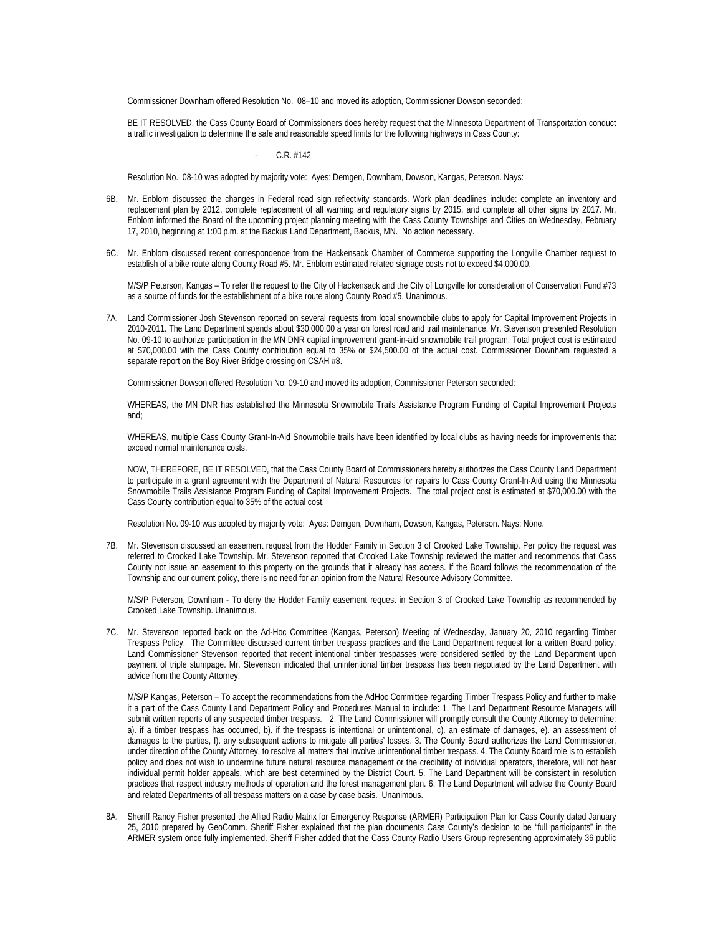Commissioner Downham offered Resolution No. 08–10 and moved its adoption, Commissioner Dowson seconded:

BE IT RESOLVED, the Cass County Board of Commissioners does hereby request that the Minnesota Department of Transportation conduct a traffic investigation to determine the safe and reasonable speed limits for the following highways in Cass County:

## C.R. #142

Resolution No. 08-10 was adopted by majority vote: Ayes: Demgen, Downham, Dowson, Kangas, Peterson. Nays:

- 6B. Mr. Enblom discussed the changes in Federal road sign reflectivity standards. Work plan deadlines include: complete an inventory and replacement plan by 2012, complete replacement of all warning and regulatory signs by 2015, and complete all other signs by 2017. Mr. Enblom informed the Board of the upcoming project planning meeting with the Cass County Townships and Cities on Wednesday, February 17, 2010, beginning at 1:00 p.m. at the Backus Land Department, Backus, MN. No action necessary.
- 6C. Mr. Enblom discussed recent correspondence from the Hackensack Chamber of Commerce supporting the Longville Chamber request to establish of a bike route along County Road #5. Mr. Enblom estimated related signage costs not to exceed \$4,000.00.

M/S/P Peterson, Kangas - To refer the request to the City of Hackensack and the City of Longville for consideration of Conservation Fund #73 as a source of funds for the establishment of a bike route along County Road #5. Unanimous.

7A. Land Commissioner Josh Stevenson reported on several requests from local snowmobile clubs to apply for Capital Improvement Projects in 2010-2011. The Land Department spends about \$30,000.00 a year on forest road and trail maintenance. Mr. Stevenson presented Resolution No. 09-10 to authorize participation in the MN DNR capital improvement grant-in-aid snowmobile trail program. Total project cost is estimated at \$70,000.00 with the Cass County contribution equal to 35% or \$24,500.00 of the actual cost. Commissioner Downham requested a separate report on the Boy River Bridge crossing on CSAH #8.

Commissioner Dowson offered Resolution No. 09-10 and moved its adoption, Commissioner Peterson seconded:

WHEREAS, the MN DNR has established the Minnesota Snowmobile Trails Assistance Program Funding of Capital Improvement Projects and;

WHEREAS, multiple Cass County Grant-In-Aid Snowmobile trails have been identified by local clubs as having needs for improvements that exceed normal maintenance costs.

NOW, THEREFORE, BE IT RESOLVED, that the Cass County Board of Commissioners hereby authorizes the Cass County Land Department to participate in a grant agreement with the Department of Natural Resources for repairs to Cass County Grant-In-Aid using the Minnesota Snowmobile Trails Assistance Program Funding of Capital Improvement Projects. The total project cost is estimated at \$70,000.00 with the Cass County contribution equal to 35% of the actual cost.

Resolution No. 09-10 was adopted by majority vote: Ayes: Demgen, Downham, Dowson, Kangas, Peterson. Nays: None.

7B. Mr. Stevenson discussed an easement request from the Hodder Family in Section 3 of Crooked Lake Township. Per policy the request was referred to Crooked Lake Township. Mr. Stevenson reported that Crooked Lake Township reviewed the matter and recommends that Cass County not issue an easement to this property on the grounds that it already has access. If the Board follows the recommendation of the Township and our current policy, there is no need for an opinion from the Natural Resource Advisory Committee.

M/S/P Peterson, Downham - To deny the Hodder Family easement request in Section 3 of Crooked Lake Township as recommended by Crooked Lake Township. Unanimous.

7C. Mr. Stevenson reported back on the Ad-Hoc Committee (Kangas, Peterson) Meeting of Wednesday, January 20, 2010 regarding Timber Trespass Policy. The Committee discussed current timber trespass practices and the Land Department request for a written Board policy. Land Commissioner Stevenson reported that recent intentional timber trespasses were considered settled by the Land Department upon payment of triple stumpage. Mr. Stevenson indicated that unintentional timber trespass has been negotiated by the Land Department with advice from the County Attorney.

M/S/P Kangas, Peterson – To accept the recommendations from the AdHoc Committee regarding Timber Trespass Policy and further to make it a part of the Cass County Land Department Policy and Procedures Manual to include: 1. The Land Department Resource Managers will submit written reports of any suspected timber trespass. 2. The Land Commissioner will promptly consult the County Attorney to determine: a). if a timber trespass has occurred, b). if the trespass is intentional or unintentional, c). an estimate of damages, e). an assessment of damages to the parties, f). any subsequent actions to mitigate all parties' losses. 3. The County Board authorizes the Land Commissioner, under direction of the County Attorney, to resolve all matters that involve unintentional timber trespass. 4. The County Board role is to establish policy and does not wish to undermine future natural resource management or the credibility of individual operators, therefore, will not hear individual permit holder appeals, which are best determined by the District Court. 5. The Land Department will be consistent in resolution practices that respect industry methods of operation and the forest management plan. 6. The Land Department will advise the County Board and related Departments of all trespass matters on a case by case basis. Unanimous.

8A. Sheriff Randy Fisher presented the Allied Radio Matrix for Emergency Response (ARMER) Participation Plan for Cass County dated January 25, 2010 prepared by GeoComm. Sheriff Fisher explained that the plan documents Cass County's decision to be "full participants" in the ARMER system once fully implemented. Sheriff Fisher added that the Cass County Radio Users Group representing approximately 36 public